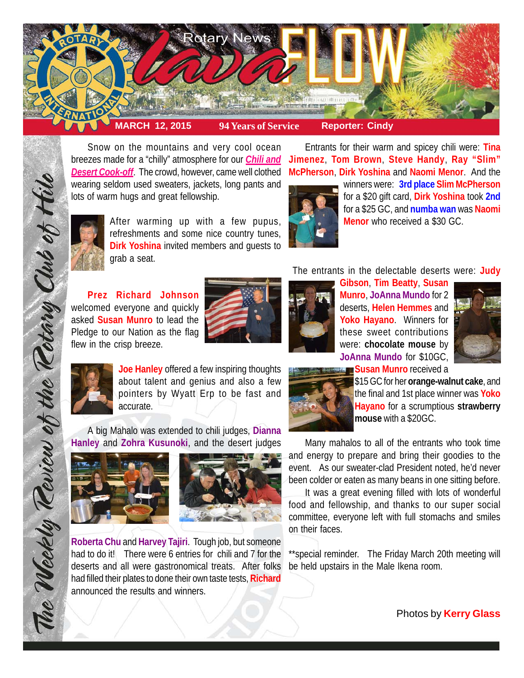

Snow on the mountains and very cool ocean breezes made for a "chilly" atmosphere for our *Chili and* **Jimenez**, **Tom Brown**, **Steve Handy**, **Ray "Slim"** *Desert Cook-off*. The crowd, however, came well clothed wearing seldom used sweaters, jackets, long pants and lots of warm hugs and great fellowship.

After warming up with a few pupus, refreshments and some nice country tunes, **Dirk Yoshina** invited members and guests to grab a seat.

**Prez Richard Johnson** welcomed everyone and quickly asked **Susan Munro** to lead the Pledge to our Nation as the flag flew in the crisp breeze.



**McPherson**, **Dirk Yoshina** and **Naomi Menor**. And the winners were: **3rd place Slim McPherson**

Entrants for their warm and spicey chili were: **Tina**



for a \$20 gift card, **Dirk Yoshina** took **2nd** for a \$25 GC, and **numba wan** was **Naomi Menor** who received a \$30 GC.

The entrants in the delectable deserts were: **Judy**

**Gibson**, **Tim Beatty**, **Susan Munro**, **JoAnna Mundo** for 2 deserts, **Helen Hemmes** and **Yoko Hayano**. Winners for these sweet contributions were: **chocolate mouse** by **JoAnna Mundo** for \$10GC, **Susan Munro** received a





The Weekly Teview of the Tetary Club of Hil

**Joe Hanley** offered a few inspiring thoughts about talent and genius and also a few pointers by Wyatt Erp to be fast and accurate.

A big Mahalo was extended to chili judges, **Dianna Hanley** and **Zohra Kusunoki**, and the desert judges





**Roberta Chu** and **Harvey Tajiri**. Tough job, but someone had to do it! There were 6 entries for chili and 7 for the deserts and all were gastronomical treats. After folks had filled their plates to done their own taste tests, **Richard** announced the results and winners.



\$15 GC for her **orange-walnut cake**, and the final and 1st place winner was **Yoko Hayano** for a scrumptious **strawberry mouse** with a \$20GC.

Many mahalos to all of the entrants who took time and energy to prepare and bring their goodies to the event. As our sweater-clad President noted, he'd never been colder or eaten as many beans in one sitting before.

It was a great evening filled with lots of wonderful food and fellowship, and thanks to our super social committee, everyone left with full stomachs and smiles on their faces.

\*\*special reminder. The Friday March 20th meeting will be held upstairs in the Male Ikena room.

Photos by **Kerry Glass**